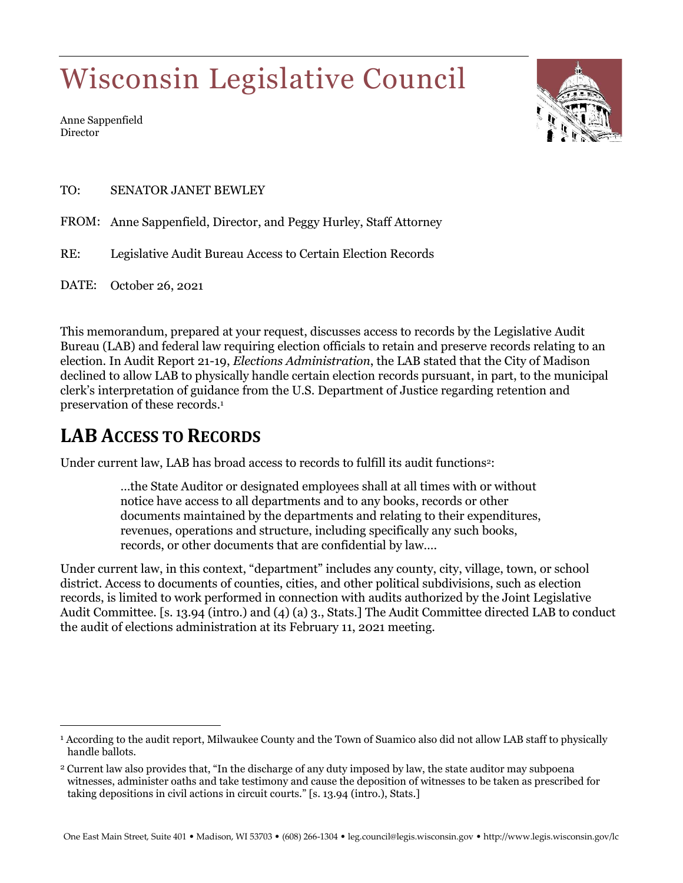# Wisconsin Legislative Council

Anne Sappenfield Director



TO: SENATOR JANET BEWLEY

FROM: Anne Sappenfield, Director, and Peggy Hurley, Staff Attorney

RE: Legislative Audit Bureau Access to Certain Election Records

DATE: October 26, 2021

This memorandum, prepared at your request, discusses access to records by the Legislative Audit Bureau (LAB) and federal law requiring election officials to retain and preserve records relating to an election. In Audit Report 21-19, *Elections Administration*, the LAB stated that the City of Madison declined to allow LAB to physically handle certain election records pursuant, in part, to the municipal clerk's interpretation of guidance from the U.S. Department of Justice regarding retention and preservation of these records.<sup>1</sup>

## **LAB ACCESS TO RECORDS**

 $\overline{a}$ 

Under current law, LAB has broad access to records to fulfill its audit functions<sup>2</sup>:

…the State Auditor or designated employees shall at all times with or without notice have access to all departments and to any books, records or other documents maintained by the departments and relating to their expenditures, revenues, operations and structure, including specifically any such books, records, or other documents that are confidential by law….

Under current law, in this context, "department" includes any county, city, village, town, or school district. Access to documents of counties, cities, and other political subdivisions, such as election records, is limited to work performed in connection with audits authorized by the Joint Legislative Audit Committee. [s. 13.94 (intro.) and (4) (a) 3., Stats.] The Audit Committee directed LAB to conduct the audit of elections administration at its February 11, 2021 meeting.

<sup>1</sup> According to the audit report, Milwaukee County and the Town of Suamico also did not allow LAB staff to physically handle ballots.

<sup>2</sup> Current law also provides that, "In the discharge of any duty imposed by law, the state auditor may subpoena witnesses, administer oaths and take testimony and cause the deposition of witnesses to be taken as prescribed for taking depositions in civil actions in circuit courts." [s. 13.94 (intro.), Stats.]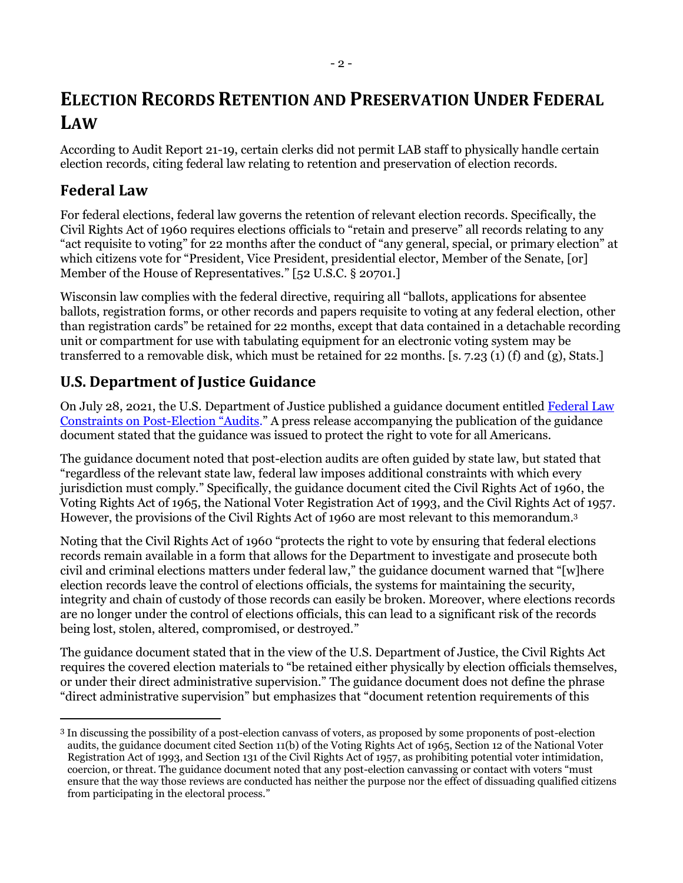### **ELECTION RECORDS RETENTION AND PRESERVATION UNDER FEDERAL LAW**

According to Audit Report 21-19, certain clerks did not permit LAB staff to physically handle certain election records, citing federal law relating to retention and preservation of election records.

#### **Federal Law**

 $\overline{a}$ 

For federal elections, federal law governs the retention of relevant election records. Specifically, the Civil Rights Act of 1960 requires elections officials to "retain and preserve" all records relating to any "act requisite to voting" for 22 months after the conduct of "any general, special, or primary election" at which citizens vote for "President, Vice President, presidential elector, Member of the Senate, [or] Member of the House of Representatives." [52 U.S.C. § 20701.]

Wisconsin law complies with the federal directive, requiring all "ballots, applications for absentee ballots, registration forms, or other records and papers requisite to voting at any federal election, other than registration cards" be retained for 22 months, except that data contained in a detachable recording unit or compartment for use with tabulating equipment for an electronic voting system may be transferred to a removable disk, which must be retained for 22 months. [s. 7.23 (1) (f) and (g), Stats.]

#### **U.S. Department of Justice Guidance**

On July 28, 2021, the U.S. Department of Justice published a guidance document entitled [Federal Law](https://www.justice.gov/opa/press-release/file/1417796/download)  [Constraints on Post-Election](https://www.justice.gov/opa/press-release/file/1417796/download) "Audits." A press release accompanying the publication of the guidance document stated that the guidance was issued to protect the right to vote for all Americans.

The guidance document noted that post-election audits are often guided by state law, but stated that "regardless of the relevant state law, federal law imposes additional constraints with which every jurisdiction must comply." Specifically, the guidance document cited the Civil Rights Act of 1960, the Voting Rights Act of 1965, the National Voter Registration Act of 1993, and the Civil Rights Act of 1957. However, the provisions of the Civil Rights Act of 1960 are most relevant to this memorandum. 3

Noting that the Civil Rights Act of 1960 "protects the right to vote by ensuring that federal elections records remain available in a form that allows for the Department to investigate and prosecute both civil and criminal elections matters under federal law," the guidance document warned that "[w]here election records leave the control of elections officials, the systems for maintaining the security, integrity and chain of custody of those records can easily be broken. Moreover, where elections records are no longer under the control of elections officials, this can lead to a significant risk of the records being lost, stolen, altered, compromised, or destroyed."

The guidance document stated that in the view of the U.S. Department of Justice, the Civil Rights Act requires the covered election materials to "be retained either physically by election officials themselves, or under their direct administrative supervision." The guidance document does not define the phrase "direct administrative supervision" but emphasizes that "document retention requirements of this

<sup>3</sup> In discussing the possibility of a post-election canvass of voters, as proposed by some proponents of post-election audits, the guidance document cited Section 11(b) of the Voting Rights Act of 1965, Section 12 of the National Voter Registration Act of 1993, and Section 131 of the Civil Rights Act of 1957, as prohibiting potential voter intimidation, coercion, or threat. The guidance document noted that any post-election canvassing or contact with voters "must ensure that the way those reviews are conducted has neither the purpose nor the effect of dissuading qualified citizens from participating in the electoral process."